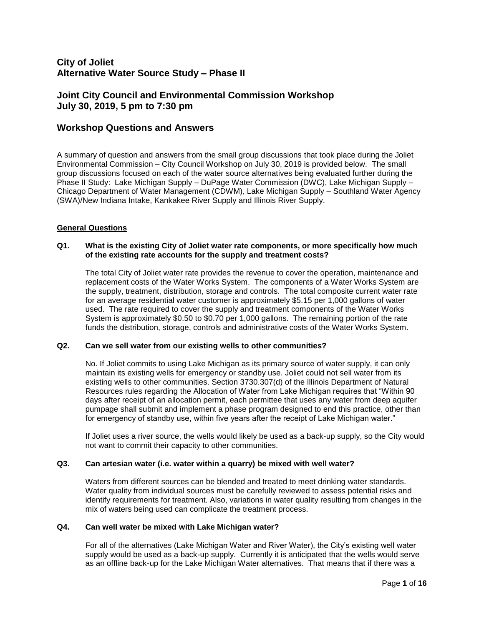# **City of Joliet Alternative Water Source Study – Phase II**

# **Joint City Council and Environmental Commission Workshop July 30, 2019, 5 pm to 7:30 pm**

# **Workshop Questions and Answers**

A summary of question and answers from the small group discussions that took place during the Joliet Environmental Commission – City Council Workshop on July 30, 2019 is provided below. The small group discussions focused on each of the water source alternatives being evaluated further during the Phase II Study: Lake Michigan Supply – DuPage Water Commission (DWC), Lake Michigan Supply – Chicago Department of Water Management (CDWM), Lake Michigan Supply – Southland Water Agency (SWA)/New Indiana Intake, Kankakee River Supply and Illinois River Supply.

#### **General Questions**

#### **Q1. What is the existing City of Joliet water rate components, or more specifically how much of the existing rate accounts for the supply and treatment costs?**

The total City of Joliet water rate provides the revenue to cover the operation, maintenance and replacement costs of the Water Works System. The components of a Water Works System are the supply, treatment, distribution, storage and controls. The total composite current water rate for an average residential water customer is approximately \$5.15 per 1,000 gallons of water used. The rate required to cover the supply and treatment components of the Water Works System is approximately \$0.50 to \$0.70 per 1,000 gallons. The remaining portion of the rate funds the distribution, storage, controls and administrative costs of the Water Works System.

#### **Q2. Can we sell water from our existing wells to other communities?**

No. If Joliet commits to using Lake Michigan as its primary source of water supply, it can only maintain its existing wells for emergency or standby use. Joliet could not sell water from its existing wells to other communities. Section 3730.307(d) of the Illinois Department of Natural Resources rules regarding the Allocation of Water from Lake Michigan requires that "Within 90 days after receipt of an allocation permit, each permittee that uses any water from deep aquifer pumpage shall submit and implement a phase program designed to end this practice, other than for emergency of standby use, within five years after the receipt of Lake Michigan water."

If Joliet uses a river source, the wells would likely be used as a back-up supply, so the City would not want to commit their capacity to other communities.

#### **Q3. Can artesian water (i.e. water within a quarry) be mixed with well water?**

Waters from different sources can be blended and treated to meet drinking water standards. Water quality from individual sources must be carefully reviewed to assess potential risks and identify requirements for treatment. Also, variations in water quality resulting from changes in the mix of waters being used can complicate the treatment process.

#### **Q4. Can well water be mixed with Lake Michigan water?**

For all of the alternatives (Lake Michigan Water and River Water), the City's existing well water supply would be used as a back-up supply. Currently it is anticipated that the wells would serve as an offline back-up for the Lake Michigan Water alternatives. That means that if there was a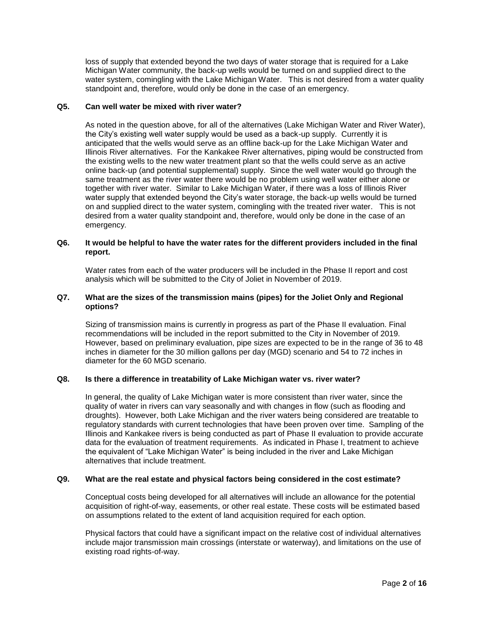loss of supply that extended beyond the two days of water storage that is required for a Lake Michigan Water community, the back-up wells would be turned on and supplied direct to the water system, comingling with the Lake Michigan Water. This is not desired from a water quality standpoint and, therefore, would only be done in the case of an emergency.

#### **Q5. Can well water be mixed with river water?**

As noted in the question above, for all of the alternatives (Lake Michigan Water and River Water), the City's existing well water supply would be used as a back-up supply. Currently it is anticipated that the wells would serve as an offline back-up for the Lake Michigan Water and Illinois River alternatives. For the Kankakee River alternatives, piping would be constructed from the existing wells to the new water treatment plant so that the wells could serve as an active online back-up (and potential supplemental) supply. Since the well water would go through the same treatment as the river water there would be no problem using well water either alone or together with river water. Similar to Lake Michigan Water, if there was a loss of Illinois River water supply that extended beyond the City's water storage, the back-up wells would be turned on and supplied direct to the water system, comingling with the treated river water. This is not desired from a water quality standpoint and, therefore, would only be done in the case of an emergency.

# **Q6. It would be helpful to have the water rates for the different providers included in the final report.**

Water rates from each of the water producers will be included in the Phase II report and cost analysis which will be submitted to the City of Joliet in November of 2019.

# **Q7. What are the sizes of the transmission mains (pipes) for the Joliet Only and Regional options?**

Sizing of transmission mains is currently in progress as part of the Phase II evaluation. Final recommendations will be included in the report submitted to the City in November of 2019. However, based on preliminary evaluation, pipe sizes are expected to be in the range of 36 to 48 inches in diameter for the 30 million gallons per day (MGD) scenario and 54 to 72 inches in diameter for the 60 MGD scenario.

### **Q8. Is there a difference in treatability of Lake Michigan water vs. river water?**

In general, the quality of Lake Michigan water is more consistent than river water, since the quality of water in rivers can vary seasonally and with changes in flow (such as flooding and droughts). However, both Lake Michigan and the river waters being considered are treatable to regulatory standards with current technologies that have been proven over time. Sampling of the Illinois and Kankakee rivers is being conducted as part of Phase II evaluation to provide accurate data for the evaluation of treatment requirements. As indicated in Phase I, treatment to achieve the equivalent of "Lake Michigan Water" is being included in the river and Lake Michigan alternatives that include treatment.

#### **Q9. What are the real estate and physical factors being considered in the cost estimate?**

Conceptual costs being developed for all alternatives will include an allowance for the potential acquisition of right-of-way, easements, or other real estate. These costs will be estimated based on assumptions related to the extent of land acquisition required for each option.

Physical factors that could have a significant impact on the relative cost of individual alternatives include major transmission main crossings (interstate or waterway), and limitations on the use of existing road rights-of-way.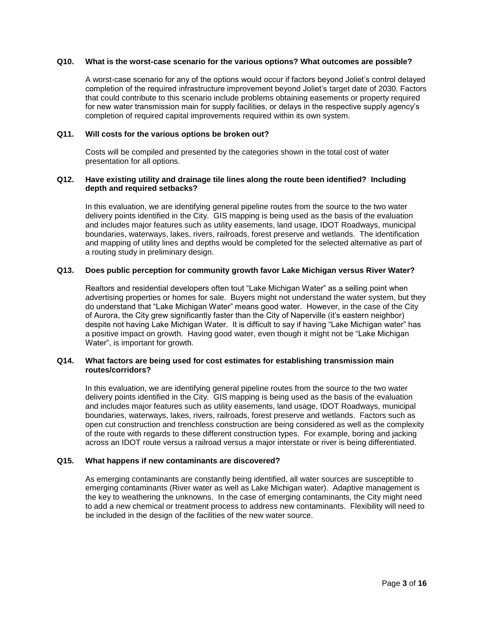#### **Q10. What is the worst-case scenario for the various options? What outcomes are possible?**

A worst-case scenario for any of the options would occur if factors beyond Joliet's control delayed completion of the required infrastructure improvement beyond Joliet's target date of 2030. Factors that could contribute to this scenario include problems obtaining easements or property required for new water transmission main for supply facilities, or delays in the respective supply agency's completion of required capital improvements required within its own system.

#### **Q11. Will costs for the various options be broken out?**

Costs will be compiled and presented by the categories shown in the total cost of water presentation for all options.

#### **Q12. Have existing utility and drainage tile lines along the route been identified? Including depth and required setbacks?**

In this evaluation, we are identifying general pipeline routes from the source to the two water delivery points identified in the City. GIS mapping is being used as the basis of the evaluation and includes major features such as utility easements, land usage, IDOT Roadways, municipal boundaries, waterways, lakes, rivers, railroads, forest preserve and wetlands. The identification and mapping of utility lines and depths would be completed for the selected alternative as part of a routing study in preliminary design.

#### **Q13. Does public perception for community growth favor Lake Michigan versus River Water?**

Realtors and residential developers often tout "Lake Michigan Water" as a selling point when advertising properties or homes for sale. Buyers might not understand the water system, but they do understand that "Lake Michigan Water" means good water. However, in the case of the City of Aurora, the City grew significantly faster than the City of Naperville (it's eastern neighbor) despite not having Lake Michigan Water. It is difficult to say if having "Lake Michigan water" has a positive impact on growth. Having good water, even though it might not be "Lake Michigan Water", is important for growth.

### **Q14. What factors are being used for cost estimates for establishing transmission main routes/corridors?**

In this evaluation, we are identifying general pipeline routes from the source to the two water delivery points identified in the City. GIS mapping is being used as the basis of the evaluation and includes major features such as utility easements, land usage, IDOT Roadways, municipal boundaries, waterways, lakes, rivers, railroads, forest preserve and wetlands. Factors such as open cut construction and trenchless construction are being considered as well as the complexity of the route with regards to these different construction types. For example, boring and jacking across an IDOT route versus a railroad versus a major interstate or river is being differentiated.

### **Q15. What happens if new contaminants are discovered?**

As emerging contaminants are constantly being identified, all water sources are susceptible to emerging contaminants (River water as well as Lake Michigan water). Adaptive management is the key to weathering the unknowns. In the case of emerging contaminants, the City might need to add a new chemical or treatment process to address new contaminants. Flexibility will need to be included in the design of the facilities of the new water source.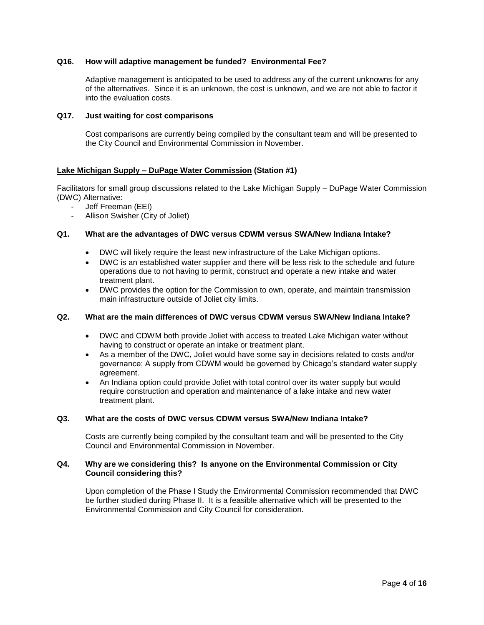## **Q16. How will adaptive management be funded? Environmental Fee?**

Adaptive management is anticipated to be used to address any of the current unknowns for any of the alternatives. Since it is an unknown, the cost is unknown, and we are not able to factor it into the evaluation costs.

### **Q17. Just waiting for cost comparisons**

Cost comparisons are currently being compiled by the consultant team and will be presented to the City Council and Environmental Commission in November.

### **Lake Michigan Supply – DuPage Water Commission (Station #1)**

Facilitators for small group discussions related to the Lake Michigan Supply – DuPage Water Commission (DWC) Alternative:

- Jeff Freeman (EEI)
- Allison Swisher (City of Joliet)

### **Q1. What are the advantages of DWC versus CDWM versus SWA/New Indiana Intake?**

- DWC will likely require the least new infrastructure of the Lake Michigan options.
- DWC is an established water supplier and there will be less risk to the schedule and future operations due to not having to permit, construct and operate a new intake and water treatment plant.
- DWC provides the option for the Commission to own, operate, and maintain transmission main infrastructure outside of Joliet city limits.

### **Q2. What are the main differences of DWC versus CDWM versus SWA/New Indiana Intake?**

- DWC and CDWM both provide Joliet with access to treated Lake Michigan water without having to construct or operate an intake or treatment plant.
- As a member of the DWC, Joliet would have some say in decisions related to costs and/or governance; A supply from CDWM would be governed by Chicago's standard water supply agreement.
- An Indiana option could provide Joliet with total control over its water supply but would require construction and operation and maintenance of a lake intake and new water treatment plant.

## **Q3. What are the costs of DWC versus CDWM versus SWA/New Indiana Intake?**

Costs are currently being compiled by the consultant team and will be presented to the City Council and Environmental Commission in November.

### **Q4. Why are we considering this? Is anyone on the Environmental Commission or City Council considering this?**

Upon completion of the Phase I Study the Environmental Commission recommended that DWC be further studied during Phase II. It is a feasible alternative which will be presented to the Environmental Commission and City Council for consideration.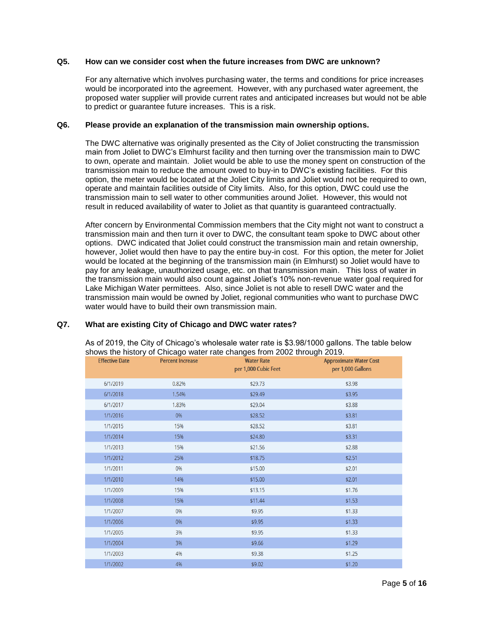### **Q5. How can we consider cost when the future increases from DWC are unknown?**

For any alternative which involves purchasing water, the terms and conditions for price increases would be incorporated into the agreement. However, with any purchased water agreement, the proposed water supplier will provide current rates and anticipated increases but would not be able to predict or guarantee future increases. This is a risk.

#### **Q6. Please provide an explanation of the transmission main ownership options.**

The DWC alternative was originally presented as the City of Joliet constructing the transmission main from Joliet to DWC's Elmhurst facility and then turning over the transmission main to DWC to own, operate and maintain. Joliet would be able to use the money spent on construction of the transmission main to reduce the amount owed to buy-in to DWC's existing facilities. For this option, the meter would be located at the Joliet City limits and Joliet would not be required to own, operate and maintain facilities outside of City limits. Also, for this option, DWC could use the transmission main to sell water to other communities around Joliet. However, this would not result in reduced availability of water to Joliet as that quantity is guaranteed contractually.

After concern by Environmental Commission members that the City might not want to construct a transmission main and then turn it over to DWC, the consultant team spoke to DWC about other options. DWC indicated that Joliet could construct the transmission main and retain ownership, however, Joliet would then have to pay the entire buy-in cost. For this option, the meter for Joliet would be located at the beginning of the transmission main (in Elmhurst) so Joliet would have to pay for any leakage, unauthorized usage, etc. on that transmission main. This loss of water in the transmission main would also count against Joliet's 10% non-revenue water goal required for Lake Michigan Water permittees. Also, since Joliet is not able to resell DWC water and the transmission main would be owned by Joliet, regional communities who want to purchase DWC water would have to build their own transmission main.

### **Q7. What are existing City of Chicago and DWC water rates?**

| shows the history of Unicago water rate changes from 2002 through 2019. |                         |                                           |                                                    |  |
|-------------------------------------------------------------------------|-------------------------|-------------------------------------------|----------------------------------------------------|--|
| <b>Effective Date</b>                                                   | <b>Percent Increase</b> | <b>Water Rate</b><br>per 1,000 Cubic Feet | <b>Approximate Water Cost</b><br>per 1,000 Gallons |  |
| 6/1/2019                                                                | 0.82%                   | \$29.73                                   | \$3.98                                             |  |
| 6/1/2018                                                                | 1.54%                   | \$29.49                                   | \$3.95                                             |  |
| 6/1/2017                                                                | 1.83%                   | \$29.04                                   | \$3.88                                             |  |
| 1/1/2016                                                                | 0%                      | \$28.52                                   | \$3.81                                             |  |
| 1/1/2015                                                                | 15%                     | \$28.52                                   | \$3.81                                             |  |
| 1/1/2014                                                                | 15%                     | \$24.80                                   | \$3.31                                             |  |
| 1/1/2013                                                                | 15%                     | \$21.56                                   | \$2.88                                             |  |
| 1/1/2012                                                                | 25%                     | \$18.75                                   | \$2.51                                             |  |
| 1/1/2011                                                                | 0%                      | \$15.00                                   | \$2.01                                             |  |
| 1/1/2010                                                                | 14%                     | \$15.00                                   | \$2.01                                             |  |
| 1/1/2009                                                                | 15%                     | \$13.15                                   | \$1.76                                             |  |
| 1/1/2008                                                                | 15%                     | \$11.44                                   | \$1.53                                             |  |
| 1/1/2007                                                                | 0%                      | \$9.95                                    | \$1.33                                             |  |
| 1/1/2006                                                                | 0%                      | \$9.95                                    | \$1.33                                             |  |
| 1/1/2005                                                                | 3%                      | \$9.95                                    | \$1.33                                             |  |
| 1/1/2004                                                                | 3%                      | \$9.66                                    | \$1.29                                             |  |
| 1/1/2003                                                                | 4%                      | \$9.38                                    | \$1.25                                             |  |
| 1/1/2002                                                                | 4%                      | \$9.02                                    | \$1.20                                             |  |

As of 2019, the City of Chicago's wholesale water rate is \$3.98/1000 gallons. The table below shows the changes from 2002 through Cago water rate changes from 2002 through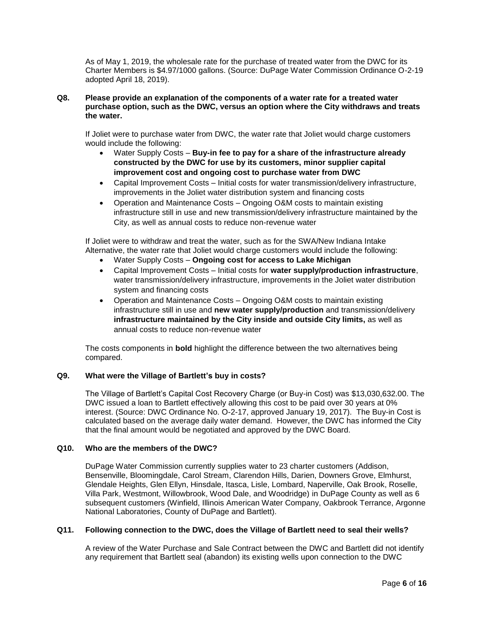As of May 1, 2019, the wholesale rate for the purchase of treated water from the DWC for its Charter Members is \$4.97/1000 gallons. (Source: DuPage Water Commission Ordinance O-2-19 adopted April 18, 2019).

### **Q8. Please provide an explanation of the components of a water rate for a treated water purchase option, such as the DWC, versus an option where the City withdraws and treats the water.**

If Joliet were to purchase water from DWC, the water rate that Joliet would charge customers would include the following:

- Water Supply Costs **Buy-in fee to pay for a share of the infrastructure already constructed by the DWC for use by its customers, minor supplier capital improvement cost and ongoing cost to purchase water from DWC**
- Capital Improvement Costs Initial costs for water transmission/delivery infrastructure, improvements in the Joliet water distribution system and financing costs
- Operation and Maintenance Costs Ongoing O&M costs to maintain existing infrastructure still in use and new transmission/delivery infrastructure maintained by the City, as well as annual costs to reduce non-revenue water

If Joliet were to withdraw and treat the water, such as for the SWA/New Indiana Intake Alternative, the water rate that Joliet would charge customers would include the following:

- Water Supply Costs **Ongoing cost for access to Lake Michigan**
- Capital Improvement Costs Initial costs for **water supply/production infrastructure**, water transmission/delivery infrastructure, improvements in the Joliet water distribution system and financing costs
- Operation and Maintenance Costs Ongoing O&M costs to maintain existing infrastructure still in use and **new water supply/production** and transmission/delivery **infrastructure maintained by the City inside and outside City limits,** as well as annual costs to reduce non-revenue water

The costs components in **bold** highlight the difference between the two alternatives being compared.

### **Q9. What were the Village of Bartlett's buy in costs?**

The Village of Bartlett's Capital Cost Recovery Charge (or Buy-in Cost) was \$13,030,632.00. The DWC issued a loan to Bartlett effectively allowing this cost to be paid over 30 years at 0% interest. (Source: DWC Ordinance No. O-2-17, approved January 19, 2017). The Buy-in Cost is calculated based on the average daily water demand. However, the DWC has informed the City that the final amount would be negotiated and approved by the DWC Board.

### **Q10. Who are the members of the DWC?**

DuPage Water Commission currently supplies water to 23 charter customers (Addison, Bensenville, Bloomingdale, Carol Stream, Clarendon Hills, Darien, Downers Grove, Elmhurst, Glendale Heights, Glen Ellyn, Hinsdale, Itasca, Lisle, Lombard, Naperville, Oak Brook, Roselle, Villa Park, Westmont, Willowbrook, Wood Dale, and Woodridge) in DuPage County as well as 6 subsequent customers (Winfield, Illinois American Water Company, Oakbrook Terrance, Argonne National Laboratories, County of DuPage and Bartlett).

# **Q11. Following connection to the DWC, does the Village of Bartlett need to seal their wells?**

A review of the Water Purchase and Sale Contract between the DWC and Bartlett did not identify any requirement that Bartlett seal (abandon) its existing wells upon connection to the DWC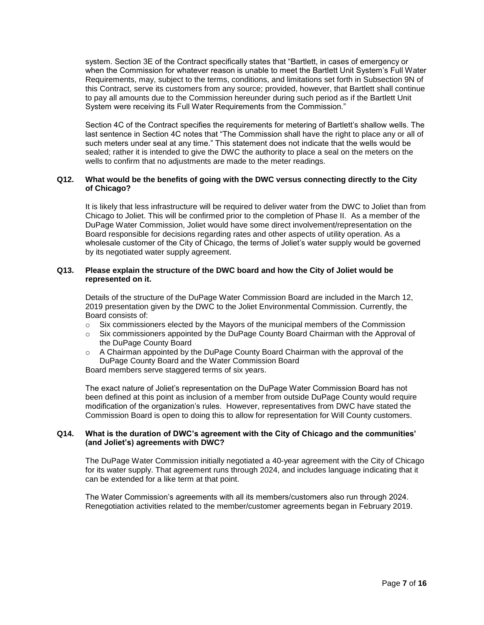system. Section 3E of the Contract specifically states that "Bartlett, in cases of emergency or when the Commission for whatever reason is unable to meet the Bartlett Unit System's Full Water Requirements, may, subject to the terms, conditions, and limitations set forth in Subsection 9N of this Contract, serve its customers from any source; provided, however, that Bartlett shall continue to pay all amounts due to the Commission hereunder during such period as if the Bartlett Unit System were receiving its Full Water Requirements from the Commission."

Section 4C of the Contract specifies the requirements for metering of Bartlett's shallow wells. The last sentence in Section 4C notes that "The Commission shall have the right to place any or all of such meters under seal at any time." This statement does not indicate that the wells would be sealed; rather it is intended to give the DWC the authority to place a seal on the meters on the wells to confirm that no adjustments are made to the meter readings.

### **Q12. What would be the benefits of going with the DWC versus connecting directly to the City of Chicago?**

It is likely that less infrastructure will be required to deliver water from the DWC to Joliet than from Chicago to Joliet. This will be confirmed prior to the completion of Phase II. As a member of the DuPage Water Commission, Joliet would have some direct involvement/representation on the Board responsible for decisions regarding rates and other aspects of utility operation. As a wholesale customer of the City of Chicago, the terms of Joliet's water supply would be governed by its negotiated water supply agreement.

# **Q13. Please explain the structure of the DWC board and how the City of Joliet would be represented on it.**

Details of the structure of the DuPage Water Commission Board are included in the March 12, 2019 presentation given by the DWC to the Joliet Environmental Commission. Currently, the Board consists of:

- $\circ$  Six commissioners elected by the Mayors of the municipal members of the Commission
- $\circ$  Six commissioners appointed by the DuPage County Board Chairman with the Approval of the DuPage County Board
- $\circ$  A Chairman appointed by the DuPage County Board Chairman with the approval of the DuPage County Board and the Water Commission Board

Board members serve staggered terms of six years.

The exact nature of Joliet's representation on the DuPage Water Commission Board has not been defined at this point as inclusion of a member from outside DuPage County would require modification of the organization's rules. However, representatives from DWC have stated the Commission Board is open to doing this to allow for representation for Will County customers.

#### **Q14. What is the duration of DWC's agreement with the City of Chicago and the communities' (and Joliet's) agreements with DWC?**

The DuPage Water Commission initially negotiated a 40-year agreement with the City of Chicago for its water supply. That agreement runs through 2024, and includes language indicating that it can be extended for a like term at that point.

The Water Commission's agreements with all its members/customers also run through 2024. Renegotiation activities related to the member/customer agreements began in February 2019.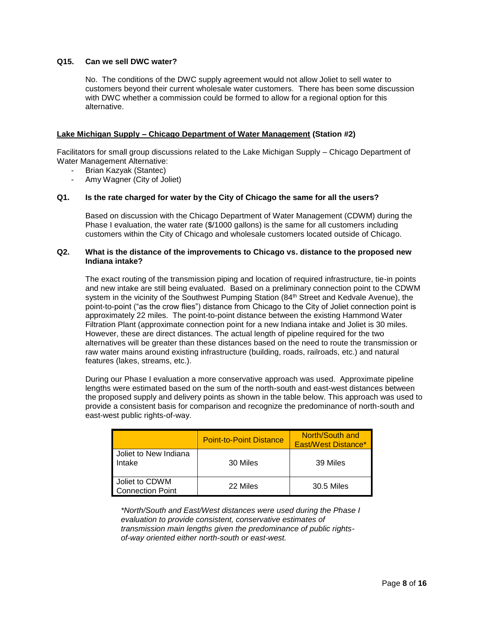# **Q15. Can we sell DWC water?**

No. The conditions of the DWC supply agreement would not allow Joliet to sell water to customers beyond their current wholesale water customers. There has been some discussion with DWC whether a commission could be formed to allow for a regional option for this alternative.

### **Lake Michigan Supply – Chicago Department of Water Management (Station #2)**

Facilitators for small group discussions related to the Lake Michigan Supply – Chicago Department of Water Management Alternative:

- Brian Kazyak (Stantec)
- Amy Wagner (City of Joliet)

#### **Q1. Is the rate charged for water by the City of Chicago the same for all the users?**

Based on discussion with the Chicago Department of Water Management (CDWM) during the Phase I evaluation, the water rate (\$/1000 gallons) is the same for all customers including customers within the City of Chicago and wholesale customers located outside of Chicago.

#### **Q2. What is the distance of the improvements to Chicago vs. distance to the proposed new Indiana intake?**

The exact routing of the transmission piping and location of required infrastructure, tie-in points and new intake are still being evaluated. Based on a preliminary connection point to the CDWM system in the vicinity of the Southwest Pumping Station (84<sup>th</sup> Street and Kedvale Avenue), the point-to-point ("as the crow flies") distance from Chicago to the City of Joliet connection point is approximately 22 miles. The point-to-point distance between the existing Hammond Water Filtration Plant (approximate connection point for a new Indiana intake and Joliet is 30 miles. However, these are direct distances. The actual length of pipeline required for the two alternatives will be greater than these distances based on the need to route the transmission or raw water mains around existing infrastructure (building, roads, railroads, etc.) and natural features (lakes, streams, etc.).

During our Phase I evaluation a more conservative approach was used. Approximate pipeline lengths were estimated based on the sum of the north-south and east-west distances between the proposed supply and delivery points as shown in the table below. This approach was used to provide a consistent basis for comparison and recognize the predominance of north-south and east-west public rights-of-way.

|                                           | <b>Point-to-Point Distance</b> | North/South and<br>East/West Distance* |
|-------------------------------------------|--------------------------------|----------------------------------------|
| Joliet to New Indiana<br>Intake           | 30 Miles                       | 39 Miles                               |
| Joliet to CDWM<br><b>Connection Point</b> | 22 Miles                       | 30.5 Miles                             |

*\*North/South and East/West distances were used during the Phase I evaluation to provide consistent, conservative estimates of transmission main lengths given the predominance of public rightsof-way oriented either north-south or east-west.*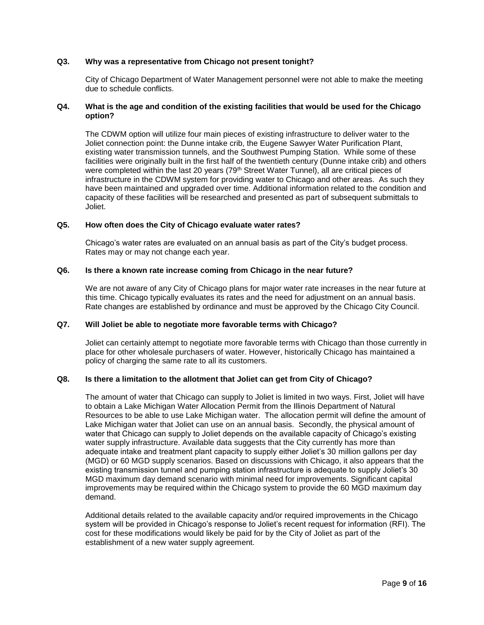### **Q3. Why was a representative from Chicago not present tonight?**

City of Chicago Department of Water Management personnel were not able to make the meeting due to schedule conflicts.

### **Q4. What is the age and condition of the existing facilities that would be used for the Chicago option?**

The CDWM option will utilize four main pieces of existing infrastructure to deliver water to the Joliet connection point: the Dunne intake crib, the Eugene Sawyer Water Purification Plant, existing water transmission tunnels, and the Southwest Pumping Station. While some of these facilities were originally built in the first half of the twentieth century (Dunne intake crib) and others were completed within the last 20 years (79<sup>th</sup> Street Water Tunnel), all are critical pieces of infrastructure in the CDWM system for providing water to Chicago and other areas. As such they have been maintained and upgraded over time. Additional information related to the condition and capacity of these facilities will be researched and presented as part of subsequent submittals to Joliet.

#### **Q5. How often does the City of Chicago evaluate water rates?**

Chicago's water rates are evaluated on an annual basis as part of the City's budget process. Rates may or may not change each year.

#### **Q6. Is there a known rate increase coming from Chicago in the near future?**

We are not aware of any City of Chicago plans for major water rate increases in the near future at this time. Chicago typically evaluates its rates and the need for adjustment on an annual basis. Rate changes are established by ordinance and must be approved by the Chicago City Council.

#### **Q7. Will Joliet be able to negotiate more favorable terms with Chicago?**

Joliet can certainly attempt to negotiate more favorable terms with Chicago than those currently in place for other wholesale purchasers of water. However, historically Chicago has maintained a policy of charging the same rate to all its customers.

#### **Q8. Is there a limitation to the allotment that Joliet can get from City of Chicago?**

The amount of water that Chicago can supply to Joliet is limited in two ways. First, Joliet will have to obtain a Lake Michigan Water Allocation Permit from the Illinois Department of Natural Resources to be able to use Lake Michigan water. The allocation permit will define the amount of Lake Michigan water that Joliet can use on an annual basis. Secondly, the physical amount of water that Chicago can supply to Joliet depends on the available capacity of Chicago's existing water supply infrastructure. Available data suggests that the City currently has more than adequate intake and treatment plant capacity to supply either Joliet's 30 million gallons per day (MGD) or 60 MGD supply scenarios. Based on discussions with Chicago, it also appears that the existing transmission tunnel and pumping station infrastructure is adequate to supply Joliet's 30 MGD maximum day demand scenario with minimal need for improvements. Significant capital improvements may be required within the Chicago system to provide the 60 MGD maximum day demand.

Additional details related to the available capacity and/or required improvements in the Chicago system will be provided in Chicago's response to Joliet's recent request for information (RFI). The cost for these modifications would likely be paid for by the City of Joliet as part of the establishment of a new water supply agreement.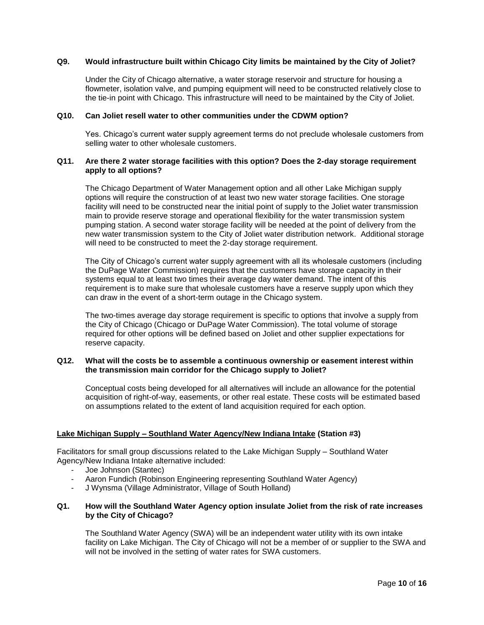### **Q9. Would infrastructure built within Chicago City limits be maintained by the City of Joliet?**

Under the City of Chicago alternative, a water storage reservoir and structure for housing a flowmeter, isolation valve, and pumping equipment will need to be constructed relatively close to the tie-in point with Chicago. This infrastructure will need to be maintained by the City of Joliet.

#### **Q10. Can Joliet resell water to other communities under the CDWM option?**

Yes. Chicago's current water supply agreement terms do not preclude wholesale customers from selling water to other wholesale customers.

### **Q11. Are there 2 water storage facilities with this option? Does the 2-day storage requirement apply to all options?**

The Chicago Department of Water Management option and all other Lake Michigan supply options will require the construction of at least two new water storage facilities. One storage facility will need to be constructed near the initial point of supply to the Joliet water transmission main to provide reserve storage and operational flexibility for the water transmission system pumping station. A second water storage facility will be needed at the point of delivery from the new water transmission system to the City of Joliet water distribution network. Additional storage will need to be constructed to meet the 2-day storage requirement.

The City of Chicago's current water supply agreement with all its wholesale customers (including the DuPage Water Commission) requires that the customers have storage capacity in their systems equal to at least two times their average day water demand. The intent of this requirement is to make sure that wholesale customers have a reserve supply upon which they can draw in the event of a short-term outage in the Chicago system.

The two-times average day storage requirement is specific to options that involve a supply from the City of Chicago (Chicago or DuPage Water Commission). The total volume of storage required for other options will be defined based on Joliet and other supplier expectations for reserve capacity.

### **Q12. What will the costs be to assemble a continuous ownership or easement interest within the transmission main corridor for the Chicago supply to Joliet?**

Conceptual costs being developed for all alternatives will include an allowance for the potential acquisition of right-of-way, easements, or other real estate. These costs will be estimated based on assumptions related to the extent of land acquisition required for each option.

### **Lake Michigan Supply – Southland Water Agency/New Indiana Intake (Station #3)**

Facilitators for small group discussions related to the Lake Michigan Supply – Southland Water Agency/New Indiana Intake alternative included:

- Joe Johnson (Stantec)
- Aaron Fundich (Robinson Engineering representing Southland Water Agency)
- J Wynsma (Village Administrator, Village of South Holland)

#### **Q1. How will the Southland Water Agency option insulate Joliet from the risk of rate increases by the City of Chicago?**

The Southland Water Agency (SWA) will be an independent water utility with its own intake facility on Lake Michigan. The City of Chicago will not be a member of or supplier to the SWA and will not be involved in the setting of water rates for SWA customers.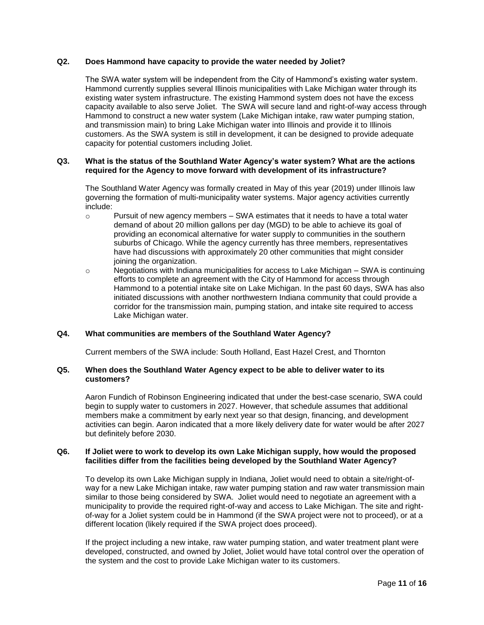### **Q2. Does Hammond have capacity to provide the water needed by Joliet?**

The SWA water system will be independent from the City of Hammond's existing water system. Hammond currently supplies several Illinois municipalities with Lake Michigan water through its existing water system infrastructure. The existing Hammond system does not have the excess capacity available to also serve Joliet. The SWA will secure land and right-of-way access through Hammond to construct a new water system (Lake Michigan intake, raw water pumping station, and transmission main) to bring Lake Michigan water into Illinois and provide it to Illinois customers. As the SWA system is still in development, it can be designed to provide adequate capacity for potential customers including Joliet.

### **Q3. What is the status of the Southland Water Agency's water system? What are the actions required for the Agency to move forward with development of its infrastructure?**

The Southland Water Agency was formally created in May of this year (2019) under Illinois law governing the formation of multi-municipality water systems. Major agency activities currently include:

- $\circ$  Pursuit of new agency members SWA estimates that it needs to have a total water demand of about 20 million gallons per day (MGD) to be able to achieve its goal of providing an economical alternative for water supply to communities in the southern suburbs of Chicago. While the agency currently has three members, representatives have had discussions with approximately 20 other communities that might consider joining the organization.
- $\circ$  Negotiations with Indiana municipalities for access to Lake Michigan SWA is continuing efforts to complete an agreement with the City of Hammond for access through Hammond to a potential intake site on Lake Michigan. In the past 60 days, SWA has also initiated discussions with another northwestern Indiana community that could provide a corridor for the transmission main, pumping station, and intake site required to access Lake Michigan water.

# **Q4. What communities are members of the Southland Water Agency?**

Current members of the SWA include: South Holland, East Hazel Crest, and Thornton

### **Q5. When does the Southland Water Agency expect to be able to deliver water to its customers?**

Aaron Fundich of Robinson Engineering indicated that under the best-case scenario, SWA could begin to supply water to customers in 2027. However, that schedule assumes that additional members make a commitment by early next year so that design, financing, and development activities can begin. Aaron indicated that a more likely delivery date for water would be after 2027 but definitely before 2030.

#### **Q6. If Joliet were to work to develop its own Lake Michigan supply, how would the proposed facilities differ from the facilities being developed by the Southland Water Agency?**

To develop its own Lake Michigan supply in Indiana, Joliet would need to obtain a site/right-ofway for a new Lake Michigan intake, raw water pumping station and raw water transmission main similar to those being considered by SWA. Joliet would need to negotiate an agreement with a municipality to provide the required right-of-way and access to Lake Michigan. The site and rightof-way for a Joliet system could be in Hammond (if the SWA project were not to proceed), or at a different location (likely required if the SWA project does proceed).

If the project including a new intake, raw water pumping station, and water treatment plant were developed, constructed, and owned by Joliet, Joliet would have total control over the operation of the system and the cost to provide Lake Michigan water to its customers.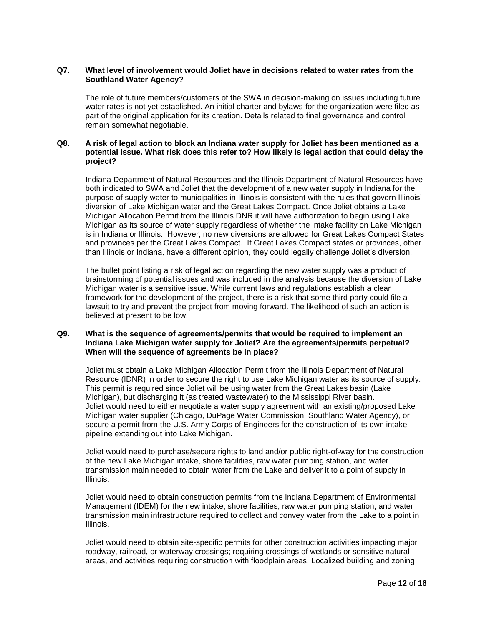### **Q7. What level of involvement would Joliet have in decisions related to water rates from the Southland Water Agency?**

The role of future members/customers of the SWA in decision-making on issues including future water rates is not yet established. An initial charter and bylaws for the organization were filed as part of the original application for its creation. Details related to final governance and control remain somewhat negotiable.

# **Q8. A risk of legal action to block an Indiana water supply for Joliet has been mentioned as a potential issue. What risk does this refer to? How likely is legal action that could delay the project?**

Indiana Department of Natural Resources and the Illinois Department of Natural Resources have both indicated to SWA and Joliet that the development of a new water supply in Indiana for the purpose of supply water to municipalities in Illinois is consistent with the rules that govern Illinois' diversion of Lake Michigan water and the Great Lakes Compact. Once Joliet obtains a Lake Michigan Allocation Permit from the Illinois DNR it will have authorization to begin using Lake Michigan as its source of water supply regardless of whether the intake facility on Lake Michigan is in Indiana or Illinois. However, no new diversions are allowed for Great Lakes Compact States and provinces per the Great Lakes Compact. If Great Lakes Compact states or provinces, other than Illinois or Indiana, have a different opinion, they could legally challenge Joliet's diversion.

The bullet point listing a risk of legal action regarding the new water supply was a product of brainstorming of potential issues and was included in the analysis because the diversion of Lake Michigan water is a sensitive issue. While current laws and regulations establish a clear framework for the development of the project, there is a risk that some third party could file a lawsuit to try and prevent the project from moving forward. The likelihood of such an action is believed at present to be low.

### **Q9. What is the sequence of agreements/permits that would be required to implement an Indiana Lake Michigan water supply for Joliet? Are the agreements/permits perpetual? When will the sequence of agreements be in place?**

Joliet must obtain a Lake Michigan Allocation Permit from the Illinois Department of Natural Resource (IDNR) in order to secure the right to use Lake Michigan water as its source of supply. This permit is required since Joliet will be using water from the Great Lakes basin (Lake Michigan), but discharging it (as treated wastewater) to the Mississippi River basin. Joliet would need to either negotiate a water supply agreement with an existing/proposed Lake Michigan water supplier (Chicago, DuPage Water Commission, Southland Water Agency), or secure a permit from the U.S. Army Corps of Engineers for the construction of its own intake pipeline extending out into Lake Michigan.

Joliet would need to purchase/secure rights to land and/or public right-of-way for the construction of the new Lake Michigan intake, shore facilities, raw water pumping station, and water transmission main needed to obtain water from the Lake and deliver it to a point of supply in Illinois.

Joliet would need to obtain construction permits from the Indiana Department of Environmental Management (IDEM) for the new intake, shore facilities, raw water pumping station, and water transmission main infrastructure required to collect and convey water from the Lake to a point in Illinois.

Joliet would need to obtain site-specific permits for other construction activities impacting major roadway, railroad, or waterway crossings; requiring crossings of wetlands or sensitive natural areas, and activities requiring construction with floodplain areas. Localized building and zoning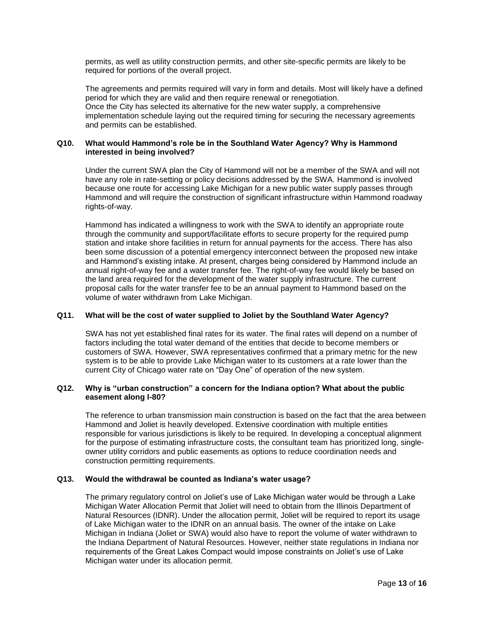permits, as well as utility construction permits, and other site-specific permits are likely to be required for portions of the overall project.

The agreements and permits required will vary in form and details. Most will likely have a defined period for which they are valid and then require renewal or renegotiation. Once the City has selected its alternative for the new water supply, a comprehensive implementation schedule laying out the required timing for securing the necessary agreements and permits can be established.

### **Q10. What would Hammond's role be in the Southland Water Agency? Why is Hammond interested in being involved?**

Under the current SWA plan the City of Hammond will not be a member of the SWA and will not have any role in rate-setting or policy decisions addressed by the SWA. Hammond is involved because one route for accessing Lake Michigan for a new public water supply passes through Hammond and will require the construction of significant infrastructure within Hammond roadway rights-of-way.

Hammond has indicated a willingness to work with the SWA to identify an appropriate route through the community and support/facilitate efforts to secure property for the required pump station and intake shore facilities in return for annual payments for the access. There has also been some discussion of a potential emergency interconnect between the proposed new intake and Hammond's existing intake. At present, charges being considered by Hammond include an annual right-of-way fee and a water transfer fee. The right-of-way fee would likely be based on the land area required for the development of the water supply infrastructure. The current proposal calls for the water transfer fee to be an annual payment to Hammond based on the volume of water withdrawn from Lake Michigan.

### **Q11. What will be the cost of water supplied to Joliet by the Southland Water Agency?**

SWA has not yet established final rates for its water. The final rates will depend on a number of factors including the total water demand of the entities that decide to become members or customers of SWA. However, SWA representatives confirmed that a primary metric for the new system is to be able to provide Lake Michigan water to its customers at a rate lower than the current City of Chicago water rate on "Day One" of operation of the new system.

### **Q12. Why is "urban construction" a concern for the Indiana option? What about the public easement along I-80?**

The reference to urban transmission main construction is based on the fact that the area between Hammond and Joliet is heavily developed. Extensive coordination with multiple entities responsible for various jurisdictions is likely to be required. In developing a conceptual alignment for the purpose of estimating infrastructure costs, the consultant team has prioritized long, singleowner utility corridors and public easements as options to reduce coordination needs and construction permitting requirements.

#### **Q13. Would the withdrawal be counted as Indiana's water usage?**

The primary regulatory control on Joliet's use of Lake Michigan water would be through a Lake Michigan Water Allocation Permit that Joliet will need to obtain from the Illinois Department of Natural Resources (IDNR). Under the allocation permit, Joliet will be required to report its usage of Lake Michigan water to the IDNR on an annual basis. The owner of the intake on Lake Michigan in Indiana (Joliet or SWA) would also have to report the volume of water withdrawn to the Indiana Department of Natural Resources. However, neither state regulations in Indiana nor requirements of the Great Lakes Compact would impose constraints on Joliet's use of Lake Michigan water under its allocation permit.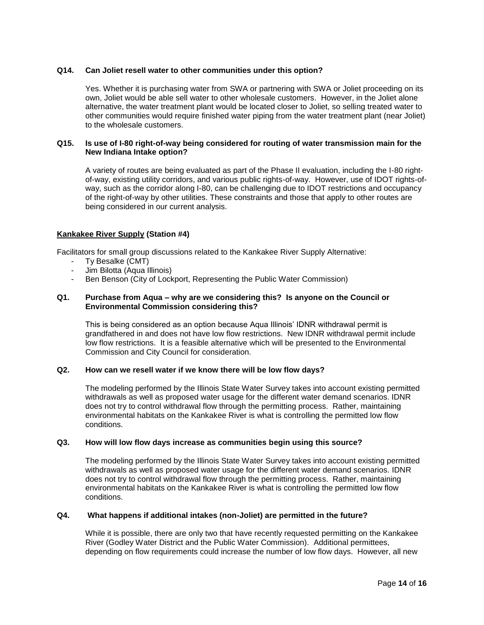## **Q14. Can Joliet resell water to other communities under this option?**

Yes. Whether it is purchasing water from SWA or partnering with SWA or Joliet proceeding on its own, Joliet would be able sell water to other wholesale customers. However, in the Joliet alone alternative, the water treatment plant would be located closer to Joliet, so selling treated water to other communities would require finished water piping from the water treatment plant (near Joliet) to the wholesale customers.

### **Q15. Is use of I-80 right-of-way being considered for routing of water transmission main for the New Indiana Intake option?**

A variety of routes are being evaluated as part of the Phase II evaluation, including the I-80 rightof-way, existing utility corridors, and various public rights-of-way. However, use of IDOT rights-ofway, such as the corridor along I-80, can be challenging due to IDOT restrictions and occupancy of the right-of-way by other utilities. These constraints and those that apply to other routes are being considered in our current analysis.

# **Kankakee River Supply (Station #4)**

Facilitators for small group discussions related to the Kankakee River Supply Alternative:

- Ty Besalke (CMT)
- Jim Bilotta (Aqua Illinois)
- Ben Benson (City of Lockport, Representing the Public Water Commission)

### **Q1. Purchase from Aqua – why are we considering this? Is anyone on the Council or Environmental Commission considering this?**

This is being considered as an option because Aqua Illinois' IDNR withdrawal permit is grandfathered in and does not have low flow restrictions. New IDNR withdrawal permit include low flow restrictions. It is a feasible alternative which will be presented to the Environmental Commission and City Council for consideration.

# **Q2. How can we resell water if we know there will be low flow days?**

The modeling performed by the Illinois State Water Survey takes into account existing permitted withdrawals as well as proposed water usage for the different water demand scenarios. IDNR does not try to control withdrawal flow through the permitting process. Rather, maintaining environmental habitats on the Kankakee River is what is controlling the permitted low flow conditions.

# **Q3. How will low flow days increase as communities begin using this source?**

The modeling performed by the Illinois State Water Survey takes into account existing permitted withdrawals as well as proposed water usage for the different water demand scenarios. IDNR does not try to control withdrawal flow through the permitting process. Rather, maintaining environmental habitats on the Kankakee River is what is controlling the permitted low flow conditions.

### **Q4. What happens if additional intakes (non-Joliet) are permitted in the future?**

While it is possible, there are only two that have recently requested permitting on the Kankakee River (Godley Water District and the Public Water Commission). Additional permittees, depending on flow requirements could increase the number of low flow days. However, all new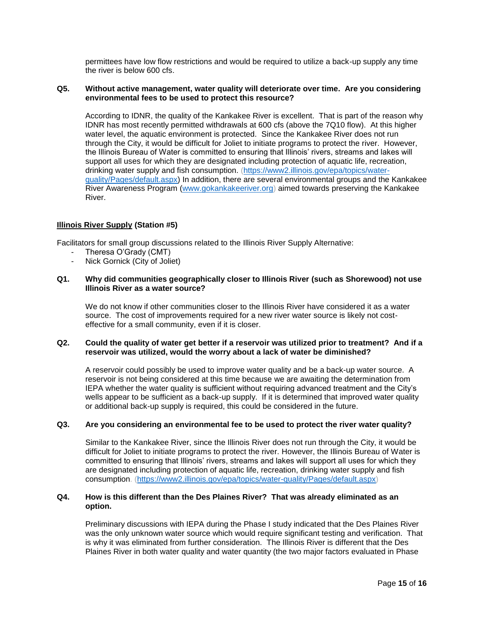permittees have low flow restrictions and would be required to utilize a back-up supply any time the river is below 600 cfs.

### **Q5. Without active management, water quality will deteriorate over time. Are you considering environmental fees to be used to protect this resource?**

According to IDNR, the quality of the Kankakee River is excellent. That is part of the reason why IDNR has most recently permitted withdrawals at 600 cfs (above the 7Q10 flow). At this higher water level, the aquatic environment is protected. Since the Kankakee River does not run through the City, it would be difficult for Joliet to initiate programs to protect the river. However, the Illinois Bureau of Water is committed to ensuring that Illinois' rivers, streams and lakes will support all uses for which they are designated including protection of aquatic life, recreation, drinking water supply and fish consumption. [\(https://www2.illinois.gov/epa/topics/water](https://www2.illinois.gov/epa/topics/water-quality/Pages/default.aspx)[quality/Pages/default.aspx\)](https://www2.illinois.gov/epa/topics/water-quality/Pages/default.aspx) In addition, there are several environmental groups and the Kankakee River Awareness Program [\(www.gokankakeeriver.org\)](http://www.gokankakeeriver.org/) aimed towards preserving the Kankakee River.

### **Illinois River Supply (Station #5)**

Facilitators for small group discussions related to the Illinois River Supply Alternative:

- Theresa O'Grady (CMT)
- Nick Gornick (City of Joliet)

#### **Q1. Why did communities geographically closer to Illinois River (such as Shorewood) not use Illinois River as a water source?**

We do not know if other communities closer to the Illinois River have considered it as a water source. The cost of improvements required for a new river water source is likely not costeffective for a small community, even if it is closer.

## **Q2. Could the quality of water get better if a reservoir was utilized prior to treatment? And if a reservoir was utilized, would the worry about a lack of water be diminished?**

A reservoir could possibly be used to improve water quality and be a back-up water source. A reservoir is not being considered at this time because we are awaiting the determination from IEPA whether the water quality is sufficient without requiring advanced treatment and the City's wells appear to be sufficient as a back-up supply. If it is determined that improved water quality or additional back-up supply is required, this could be considered in the future.

#### **Q3. Are you considering an environmental fee to be used to protect the river water quality?**

Similar to the Kankakee River, since the Illinois River does not run through the City, it would be difficult for Joliet to initiate programs to protect the river. However, the Illinois Bureau of Water is committed to ensuring that Illinois' rivers, streams and lakes will support all uses for which they are designated including protection of aquatic life, recreation, drinking water supply and fish consumption. [\(https://www2.illinois.gov/epa/topics/water-quality/Pages/default.aspx\)](https://www2.illinois.gov/epa/topics/water-quality/Pages/default.aspx)

### **Q4. How is this different than the Des Plaines River? That was already eliminated as an option.**

Preliminary discussions with IEPA during the Phase I study indicated that the Des Plaines River was the only unknown water source which would require significant testing and verification. That is why it was eliminated from further consideration. The Illinois River is different that the Des Plaines River in both water quality and water quantity (the two major factors evaluated in Phase